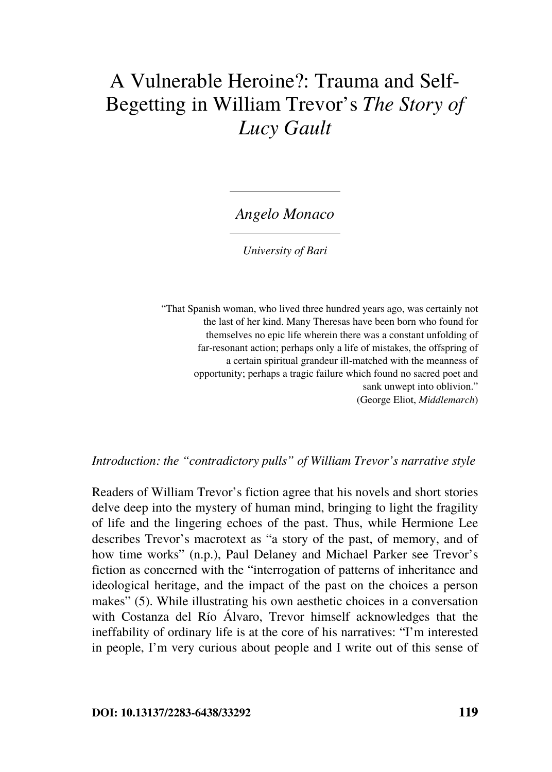# A Vulnerable Heroine?: Trauma and Self-Begetting in William Trevor's *The Story of Lucy Gault*

*Angelo Monaco*

*University of Bari*

"That Spanish woman, who lived three hundred years ago, was certainly not the last of her kind. Many Theresas have been born who found for themselves no epic life wherein there was a constant unfolding of far-resonant action; perhaps only a life of mistakes, the offspring of a certain spiritual grandeur ill-matched with the meanness of opportunity; perhaps a tragic failure which found no sacred poet and sank unwept into oblivion." (George Eliot, *Middlemarch*)

*Introduction: the "contradictory pulls" of William Trevor's narrative style*

Readers of William Trevor's fiction agree that his novels and short stories delve deep into the mystery of human mind, bringing to light the fragility of life and the lingering echoes of the past. Thus, while Hermione Lee describes Trevor's macrotext as "a story of the past, of memory, and of how time works" (n.p.), Paul Delaney and Michael Parker see Trevor's fiction as concerned with the "interrogation of patterns of inheritance and ideological heritage, and the impact of the past on the choices a person makes" (5). While illustrating his own aesthetic choices in a conversation with Costanza del Río Álvaro, Trevor himself acknowledges that the ineffability of ordinary life is at the core of his narratives: "I'm interested in people, I'm very curious about people and I write out of this sense of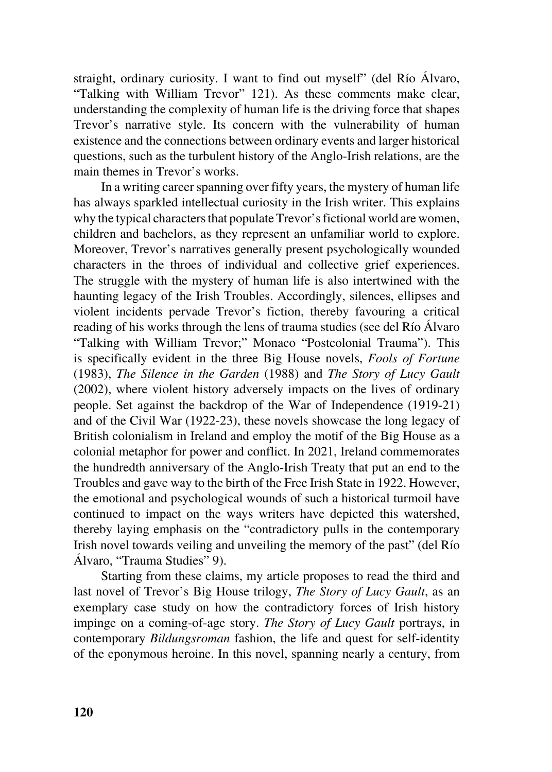straight, ordinary curiosity. I want to find out myself" (del Río Álvaro, "Talking with William Trevor" 121). As these comments make clear, understanding the complexity of human life is the driving force that shapes Trevor's narrative style. Its concern with the vulnerability of human existence and the connections between ordinary events and larger historical questions, such as the turbulent history of the Anglo-Irish relations, are the main themes in Trevor's works.

In a writing career spanning over fifty years, the mystery of human life has always sparkled intellectual curiosity in the Irish writer. This explains why the typical characters that populate Trevor's fictional world are women, children and bachelors, as they represent an unfamiliar world to explore. Moreover, Trevor's narratives generally present psychologically wounded characters in the throes of individual and collective grief experiences. The struggle with the mystery of human life is also intertwined with the haunting legacy of the Irish Troubles. Accordingly, silences, ellipses and violent incidents pervade Trevor's fiction, thereby favouring a critical reading of his works through the lens of trauma studies (see del Río Álvaro "Talking with William Trevor;" Monaco "Postcolonial Trauma"). This is specifically evident in the three Big House novels, *Fools of Fortune* (1983), *The Silence in the Garden* (1988) and *The Story of Lucy Gault* (2002), where violent history adversely impacts on the lives of ordinary people. Set against the backdrop of the War of Independence (1919-21) and of the Civil War (1922-23), these novels showcase the long legacy of British colonialism in Ireland and employ the motif of the Big House as a colonial metaphor for power and conflict. In 2021, Ireland commemorates the hundredth anniversary of the Anglo-Irish Treaty that put an end to the Troubles and gave way to the birth of the Free Irish State in 1922. However, the emotional and psychological wounds of such a historical turmoil have continued to impact on the ways writers have depicted this watershed, thereby laying emphasis on the "contradictory pulls in the contemporary Irish novel towards veiling and unveiling the memory of the past" (del Río Álvaro, "Trauma Studies" 9).

Starting from these claims, my article proposes to read the third and last novel of Trevor's Big House trilogy, *The Story of Lucy Gault*, as an exemplary case study on how the contradictory forces of Irish history impinge on a coming-of-age story. *The Story of Lucy Gault* portrays, in contemporary *Bildungsroman* fashion, the life and quest for self-identity of the eponymous heroine. In this novel, spanning nearly a century, from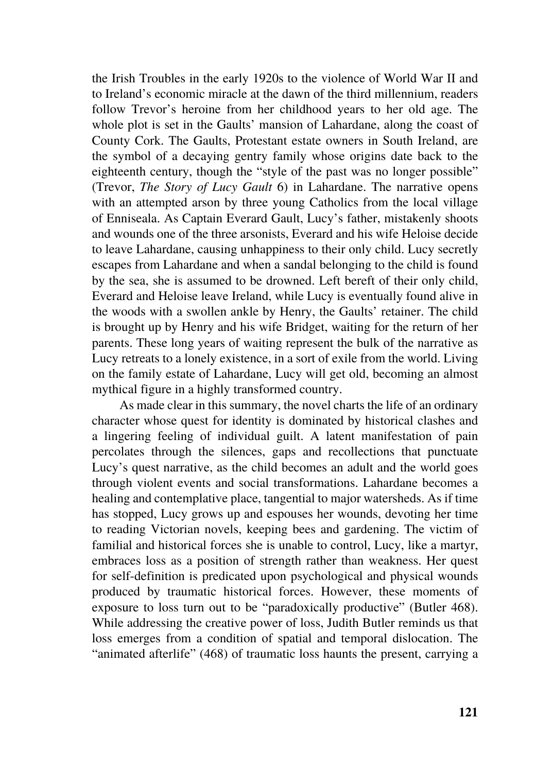the Irish Troubles in the early 1920s to the violence of World War II and to Ireland's economic miracle at the dawn of the third millennium, readers follow Trevor's heroine from her childhood years to her old age. The whole plot is set in the Gaults' mansion of Lahardane, along the coast of County Cork. The Gaults, Protestant estate owners in South Ireland, are the symbol of a decaying gentry family whose origins date back to the eighteenth century, though the "style of the past was no longer possible" (Trevor, *The Story of Lucy Gault* 6) in Lahardane. The narrative opens with an attempted arson by three young Catholics from the local village of Enniseala. As Captain Everard Gault, Lucy's father, mistakenly shoots and wounds one of the three arsonists, Everard and his wife Heloise decide to leave Lahardane, causing unhappiness to their only child. Lucy secretly escapes from Lahardane and when a sandal belonging to the child is found by the sea, she is assumed to be drowned. Left bereft of their only child, Everard and Heloise leave Ireland, while Lucy is eventually found alive in the woods with a swollen ankle by Henry, the Gaults' retainer. The child is brought up by Henry and his wife Bridget, waiting for the return of her parents. These long years of waiting represent the bulk of the narrative as Lucy retreats to a lonely existence, in a sort of exile from the world. Living on the family estate of Lahardane, Lucy will get old, becoming an almost mythical figure in a highly transformed country.

As made clear in this summary, the novel charts the life of an ordinary character whose quest for identity is dominated by historical clashes and a lingering feeling of individual guilt. A latent manifestation of pain percolates through the silences, gaps and recollections that punctuate Lucy's quest narrative, as the child becomes an adult and the world goes through violent events and social transformations. Lahardane becomes a healing and contemplative place, tangential to major watersheds. As if time has stopped, Lucy grows up and espouses her wounds, devoting her time to reading Victorian novels, keeping bees and gardening. The victim of familial and historical forces she is unable to control, Lucy, like a martyr, embraces loss as a position of strength rather than weakness. Her quest for self-definition is predicated upon psychological and physical wounds produced by traumatic historical forces. However, these moments of exposure to loss turn out to be "paradoxically productive" (Butler 468). While addressing the creative power of loss, Judith Butler reminds us that loss emerges from a condition of spatial and temporal dislocation. The "animated afterlife" (468) of traumatic loss haunts the present, carrying a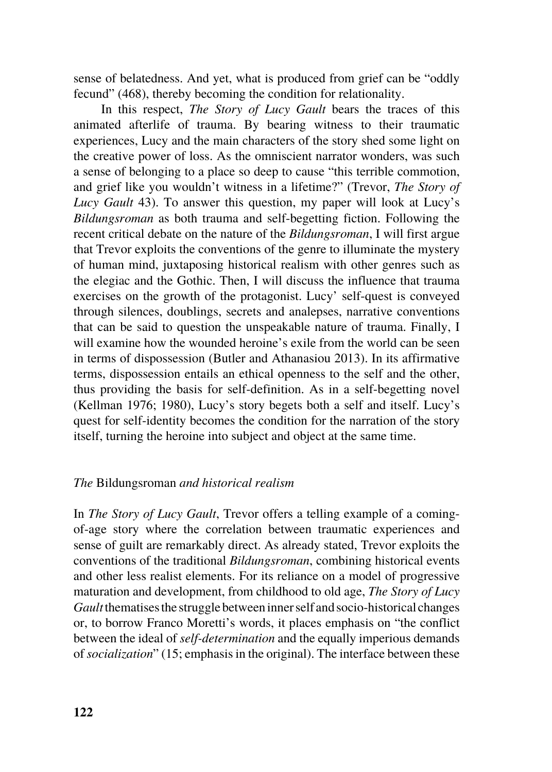sense of belatedness. And yet, what is produced from grief can be "oddly fecund" (468), thereby becoming the condition for relationality.

In this respect, *The Story of Lucy Gault* bears the traces of this animated afterlife of trauma. By bearing witness to their traumatic experiences, Lucy and the main characters of the story shed some light on the creative power of loss. As the omniscient narrator wonders, was such a sense of belonging to a place so deep to cause "this terrible commotion, and grief like you wouldn't witness in a lifetime?" (Trevor, *The Story of Lucy Gault* 43). To answer this question, my paper will look at Lucy's *Bildungsroman* as both trauma and self-begetting fiction. Following the recent critical debate on the nature of the *Bildungsroman*, I will first argue that Trevor exploits the conventions of the genre to illuminate the mystery of human mind, juxtaposing historical realism with other genres such as the elegiac and the Gothic. Then, I will discuss the influence that trauma exercises on the growth of the protagonist. Lucy' self-quest is conveyed through silences, doublings, secrets and analepses, narrative conventions that can be said to question the unspeakable nature of trauma. Finally, I will examine how the wounded heroine's exile from the world can be seen in terms of dispossession (Butler and Athanasiou 2013). In its affirmative terms, dispossession entails an ethical openness to the self and the other, thus providing the basis for self-definition. As in a self-begetting novel (Kellman 1976; 1980), Lucy's story begets both a self and itself. Lucy's quest for self-identity becomes the condition for the narration of the story itself, turning the heroine into subject and object at the same time.

## *The* Bildungsroman *and historical realism*

In *The Story of Lucy Gault*, Trevor offers a telling example of a comingof-age story where the correlation between traumatic experiences and sense of guilt are remarkably direct. As already stated, Trevor exploits the conventions of the traditional *Bildungsroman*, combining historical events and other less realist elements. For its reliance on a model of progressive maturation and development, from childhood to old age, *The Story of Lucy Gault* thematises the struggle between inner self and socio-historical changes or, to borrow Franco Moretti's words, it places emphasis on "the conflict between the ideal of *self-determination* and the equally imperious demands of *socialization*" (15; emphasis in the original). The interface between these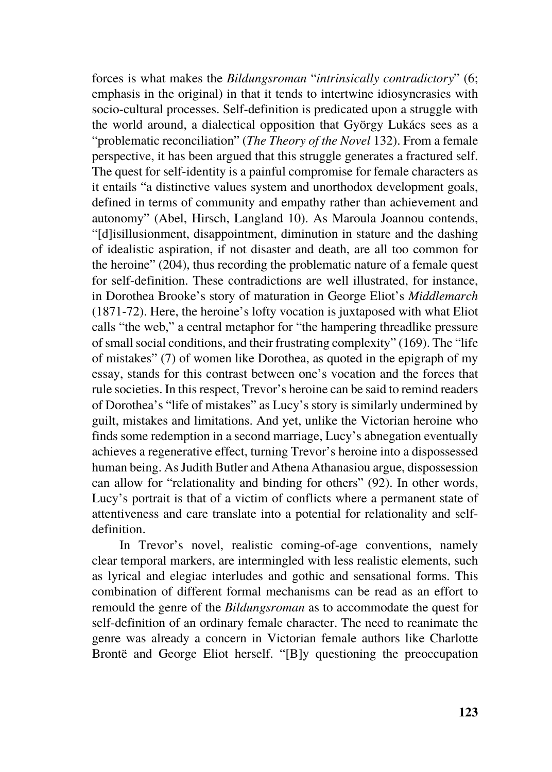forces is what makes the *Bildungsroman* "*intrinsically contradictory*" (6; emphasis in the original) in that it tends to intertwine idiosyncrasies with socio-cultural processes. Self-definition is predicated upon a struggle with the world around, a dialectical opposition that György Lukács sees as a "problematic reconciliation" (*The Theory of the Novel* 132). From a female perspective, it has been argued that this struggle generates a fractured self. The quest for self-identity is a painful compromise for female characters as it entails "a distinctive values system and unorthodox development goals, defined in terms of community and empathy rather than achievement and autonomy" (Abel, Hirsch, Langland 10). As Maroula Joannou contends, "[d]isillusionment, disappointment, diminution in stature and the dashing of idealistic aspiration, if not disaster and death, are all too common for the heroine" (204), thus recording the problematic nature of a female quest for self-definition. These contradictions are well illustrated, for instance, in Dorothea Brooke's story of maturation in George Eliot's *Middlemarch*  (1871-72). Here, the heroine's lofty vocation is juxtaposed with what Eliot calls "the web," a central metaphor for "the hampering threadlike pressure of small social conditions, and their frustrating complexity" (169). The "life of mistakes" (7) of women like Dorothea, as quoted in the epigraph of my essay, stands for this contrast between one's vocation and the forces that rule societies. In this respect, Trevor's heroine can be said to remind readers of Dorothea's "life of mistakes" as Lucy's story is similarly undermined by guilt, mistakes and limitations. And yet, unlike the Victorian heroine who finds some redemption in a second marriage, Lucy's abnegation eventually achieves a regenerative effect, turning Trevor's heroine into a dispossessed human being. As Judith Butler and Athena Athanasiou argue, dispossession can allow for "relationality and binding for others" (92). In other words, Lucy's portrait is that of a victim of conflicts where a permanent state of attentiveness and care translate into a potential for relationality and selfdefinition.

In Trevor's novel, realistic coming-of-age conventions, namely clear temporal markers, are intermingled with less realistic elements, such as lyrical and elegiac interludes and gothic and sensational forms. This combination of different formal mechanisms can be read as an effort to remould the genre of the *Bildungsroman* as to accommodate the quest for self-definition of an ordinary female character. The need to reanimate the genre was already a concern in Victorian female authors like Charlotte Brontë and George Eliot herself. "[B]y questioning the preoccupation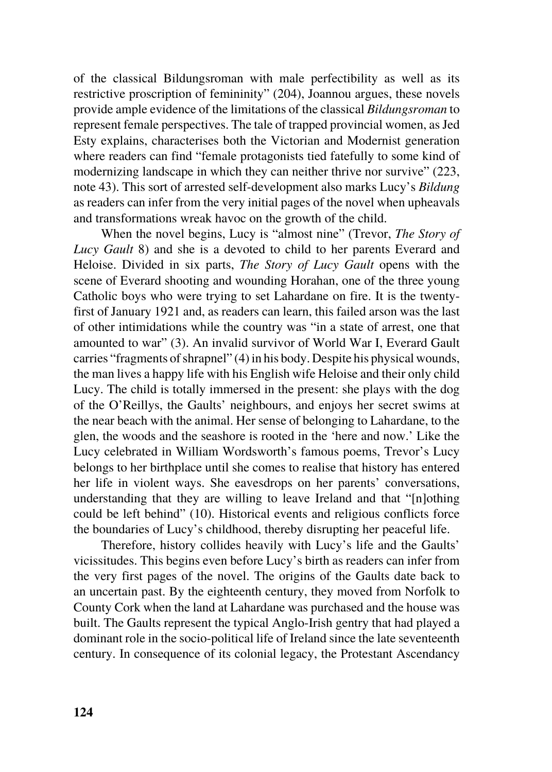of the classical Bildungsroman with male perfectibility as well as its restrictive proscription of femininity" (204), Joannou argues, these novels provide ample evidence of the limitations of the classical *Bildungsroman* to represent female perspectives. The tale of trapped provincial women, as Jed Esty explains, characterises both the Victorian and Modernist generation where readers can find "female protagonists tied fatefully to some kind of modernizing landscape in which they can neither thrive nor survive" (223, note 43). This sort of arrested self-development also marks Lucy's *Bildung* as readers can infer from the very initial pages of the novel when upheavals and transformations wreak havoc on the growth of the child.

When the novel begins, Lucy is "almost nine" (Trevor, *The Story of Lucy Gault* 8) and she is a devoted to child to her parents Everard and Heloise. Divided in six parts, *The Story of Lucy Gault* opens with the scene of Everard shooting and wounding Horahan, one of the three young Catholic boys who were trying to set Lahardane on fire. It is the twentyfirst of January 1921 and, as readers can learn, this failed arson was the last of other intimidations while the country was "in a state of arrest, one that amounted to war" (3). An invalid survivor of World War I, Everard Gault carries "fragments of shrapnel" (4) in his body. Despite his physical wounds, the man lives a happy life with his English wife Heloise and their only child Lucy. The child is totally immersed in the present: she plays with the dog of the O'Reillys, the Gaults' neighbours, and enjoys her secret swims at the near beach with the animal. Her sense of belonging to Lahardane, to the glen, the woods and the seashore is rooted in the 'here and now.' Like the Lucy celebrated in William Wordsworth's famous poems, Trevor's Lucy belongs to her birthplace until she comes to realise that history has entered her life in violent ways. She eavesdrops on her parents' conversations, understanding that they are willing to leave Ireland and that "[n]othing could be left behind" (10). Historical events and religious conflicts force the boundaries of Lucy's childhood, thereby disrupting her peaceful life.

Therefore, history collides heavily with Lucy's life and the Gaults' vicissitudes. This begins even before Lucy's birth as readers can infer from the very first pages of the novel. The origins of the Gaults date back to an uncertain past. By the eighteenth century, they moved from Norfolk to County Cork when the land at Lahardane was purchased and the house was built. The Gaults represent the typical Anglo-Irish gentry that had played a dominant role in the socio-political life of Ireland since the late seventeenth century. In consequence of its colonial legacy, the Protestant Ascendancy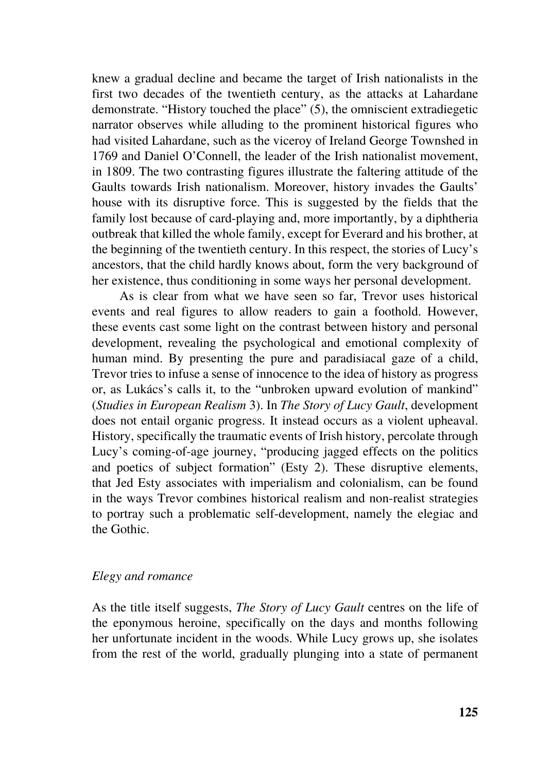knew a gradual decline and became the target of Irish nationalists in the first two decades of the twentieth century, as the attacks at Lahardane demonstrate. "History touched the place" (5), the omniscient extradiegetic narrator observes while alluding to the prominent historical figures who had visited Lahardane, such as the viceroy of Ireland George Townshed in 1769 and Daniel O'Connell, the leader of the Irish nationalist movement, in 1809. The two contrasting figures illustrate the faltering attitude of the Gaults towards Irish nationalism. Moreover, history invades the Gaults' house with its disruptive force. This is suggested by the fields that the family lost because of card-playing and, more importantly, by a diphtheria outbreak that killed the whole family, except for Everard and his brother, at the beginning of the twentieth century. In this respect, the stories of Lucy's ancestors, that the child hardly knows about, form the very background of her existence, thus conditioning in some ways her personal development.

As is clear from what we have seen so far, Trevor uses historical events and real figures to allow readers to gain a foothold. However, these events cast some light on the contrast between history and personal development, revealing the psychological and emotional complexity of human mind. By presenting the pure and paradisiacal gaze of a child, Trevor tries to infuse a sense of innocence to the idea of history as progress or, as Lukács's calls it, to the "unbroken upward evolution of mankind" (*Studies in European Realism* 3). In *The Story of Lucy Gault*, development does not entail organic progress. It instead occurs as a violent upheaval. History, specifically the traumatic events of Irish history, percolate through Lucy's coming-of-age journey, "producing jagged effects on the politics and poetics of subject formation" (Esty 2). These disruptive elements, that Jed Esty associates with imperialism and colonialism, can be found in the ways Trevor combines historical realism and non-realist strategies to portray such a problematic self-development, namely the elegiac and the Gothic.

## *Elegy and romance*

As the title itself suggests, *The Story of Lucy Gault* centres on the life of the eponymous heroine, specifically on the days and months following her unfortunate incident in the woods. While Lucy grows up, she isolates from the rest of the world, gradually plunging into a state of permanent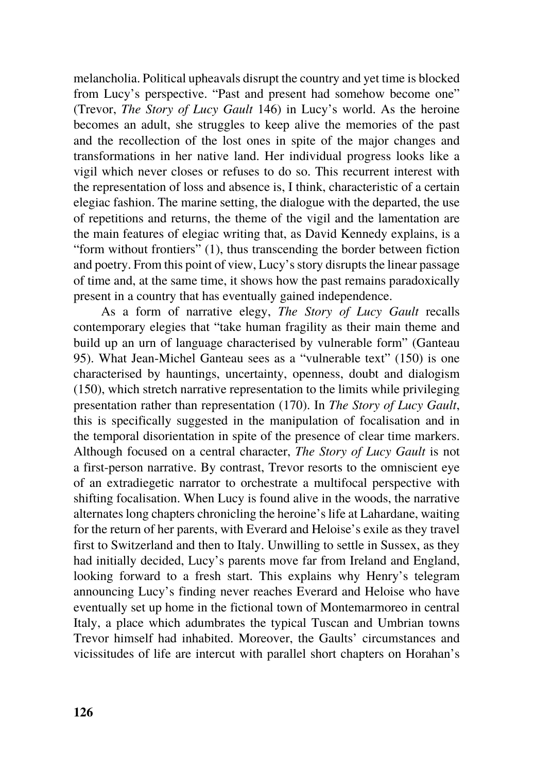melancholia. Political upheavals disrupt the country and yet time is blocked from Lucy's perspective. "Past and present had somehow become one" (Trevor, *The Story of Lucy Gault* 146) in Lucy's world. As the heroine becomes an adult, she struggles to keep alive the memories of the past and the recollection of the lost ones in spite of the major changes and transformations in her native land. Her individual progress looks like a vigil which never closes or refuses to do so. This recurrent interest with the representation of loss and absence is, I think, characteristic of a certain elegiac fashion. The marine setting, the dialogue with the departed, the use of repetitions and returns, the theme of the vigil and the lamentation are the main features of elegiac writing that, as David Kennedy explains, is a "form without frontiers" (1), thus transcending the border between fiction and poetry. From this point of view, Lucy's story disrupts the linear passage of time and, at the same time, it shows how the past remains paradoxically present in a country that has eventually gained independence.

As a form of narrative elegy, *The Story of Lucy Gault* recalls contemporary elegies that "take human fragility as their main theme and build up an urn of language characterised by vulnerable form" (Ganteau 95). What Jean-Michel Ganteau sees as a "vulnerable text" (150) is one characterised by hauntings, uncertainty, openness, doubt and dialogism (150), which stretch narrative representation to the limits while privileging presentation rather than representation (170). In *The Story of Lucy Gault*, this is specifically suggested in the manipulation of focalisation and in the temporal disorientation in spite of the presence of clear time markers. Although focused on a central character, *The Story of Lucy Gault* is not a first-person narrative. By contrast, Trevor resorts to the omniscient eye of an extradiegetic narrator to orchestrate a multifocal perspective with shifting focalisation. When Lucy is found alive in the woods, the narrative alternates long chapters chronicling the heroine's life at Lahardane, waiting for the return of her parents, with Everard and Heloise's exile as they travel first to Switzerland and then to Italy. Unwilling to settle in Sussex, as they had initially decided, Lucy's parents move far from Ireland and England, looking forward to a fresh start. This explains why Henry's telegram announcing Lucy's finding never reaches Everard and Heloise who have eventually set up home in the fictional town of Montemarmoreo in central Italy, a place which adumbrates the typical Tuscan and Umbrian towns Trevor himself had inhabited. Moreover, the Gaults' circumstances and vicissitudes of life are intercut with parallel short chapters on Horahan's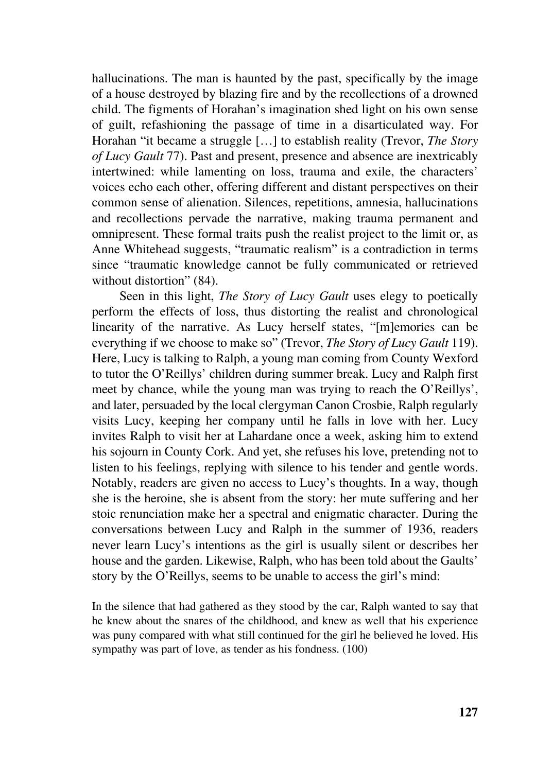hallucinations. The man is haunted by the past, specifically by the image of a house destroyed by blazing fire and by the recollections of a drowned child. The figments of Horahan's imagination shed light on his own sense of guilt, refashioning the passage of time in a disarticulated way. For Horahan "it became a struggle […] to establish reality (Trevor, *The Story of Lucy Gault* 77). Past and present, presence and absence are inextricably intertwined: while lamenting on loss, trauma and exile, the characters' voices echo each other, offering different and distant perspectives on their common sense of alienation. Silences, repetitions, amnesia, hallucinations and recollections pervade the narrative, making trauma permanent and omnipresent. These formal traits push the realist project to the limit or, as Anne Whitehead suggests, "traumatic realism" is a contradiction in terms since "traumatic knowledge cannot be fully communicated or retrieved without distortion" (84).

Seen in this light, *The Story of Lucy Gault* uses elegy to poetically perform the effects of loss, thus distorting the realist and chronological linearity of the narrative. As Lucy herself states, "[m]emories can be everything if we choose to make so" (Trevor, *The Story of Lucy Gault* 119). Here, Lucy is talking to Ralph, a young man coming from County Wexford to tutor the O'Reillys' children during summer break. Lucy and Ralph first meet by chance, while the young man was trying to reach the O'Reillys', and later, persuaded by the local clergyman Canon Crosbie, Ralph regularly visits Lucy, keeping her company until he falls in love with her. Lucy invites Ralph to visit her at Lahardane once a week, asking him to extend his sojourn in County Cork. And yet, she refuses his love, pretending not to listen to his feelings, replying with silence to his tender and gentle words. Notably, readers are given no access to Lucy's thoughts. In a way, though she is the heroine, she is absent from the story: her mute suffering and her stoic renunciation make her a spectral and enigmatic character. During the conversations between Lucy and Ralph in the summer of 1936, readers never learn Lucy's intentions as the girl is usually silent or describes her house and the garden. Likewise, Ralph, who has been told about the Gaults' story by the O'Reillys, seems to be unable to access the girl's mind:

In the silence that had gathered as they stood by the car, Ralph wanted to say that he knew about the snares of the childhood, and knew as well that his experience was puny compared with what still continued for the girl he believed he loved. His sympathy was part of love, as tender as his fondness. (100)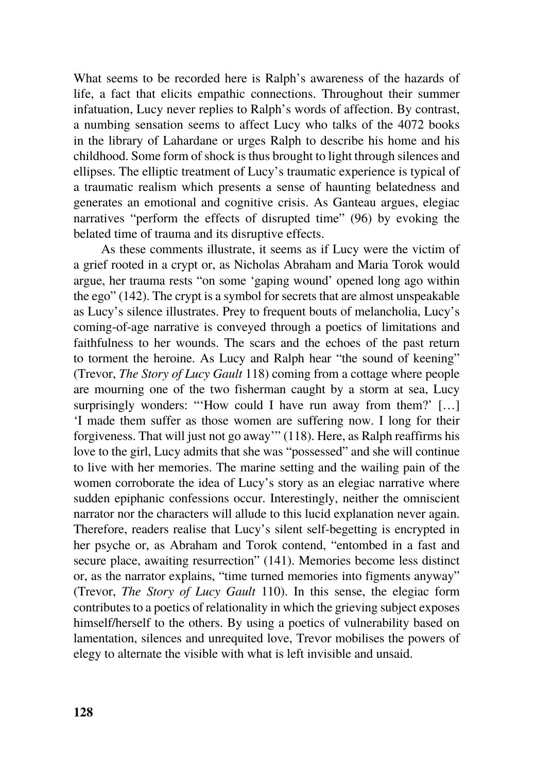What seems to be recorded here is Ralph's awareness of the hazards of life, a fact that elicits empathic connections. Throughout their summer infatuation, Lucy never replies to Ralph's words of affection. By contrast, a numbing sensation seems to affect Lucy who talks of the 4072 books in the library of Lahardane or urges Ralph to describe his home and his childhood. Some form of shock is thus brought to light through silences and ellipses. The elliptic treatment of Lucy's traumatic experience is typical of a traumatic realism which presents a sense of haunting belatedness and generates an emotional and cognitive crisis. As Ganteau argues, elegiac narratives "perform the effects of disrupted time" (96) by evoking the belated time of trauma and its disruptive effects.

As these comments illustrate, it seems as if Lucy were the victim of a grief rooted in a crypt or, as Nicholas Abraham and Maria Torok would argue, her trauma rests "on some 'gaping wound' opened long ago within the ego" (142). The crypt is a symbol for secrets that are almost unspeakable as Lucy's silence illustrates. Prey to frequent bouts of melancholia, Lucy's coming-of-age narrative is conveyed through a poetics of limitations and faithfulness to her wounds. The scars and the echoes of the past return to torment the heroine. As Lucy and Ralph hear "the sound of keening" (Trevor, *The Story of Lucy Gault* 118) coming from a cottage where people are mourning one of the two fisherman caught by a storm at sea, Lucy surprisingly wonders: "How could I have run away from them?' [...] 'I made them suffer as those women are suffering now. I long for their forgiveness. That will just not go away'" (118). Here, as Ralph reaffirms his love to the girl, Lucy admits that she was "possessed" and she will continue to live with her memories. The marine setting and the wailing pain of the women corroborate the idea of Lucy's story as an elegiac narrative where sudden epiphanic confessions occur. Interestingly, neither the omniscient narrator nor the characters will allude to this lucid explanation never again. Therefore, readers realise that Lucy's silent self-begetting is encrypted in her psyche or, as Abraham and Torok contend, "entombed in a fast and secure place, awaiting resurrection" (141). Memories become less distinct or, as the narrator explains, "time turned memories into figments anyway" (Trevor, *The Story of Lucy Gault* 110). In this sense, the elegiac form contributes to a poetics of relationality in which the grieving subject exposes himself/herself to the others. By using a poetics of vulnerability based on lamentation, silences and unrequited love, Trevor mobilises the powers of elegy to alternate the visible with what is left invisible and unsaid.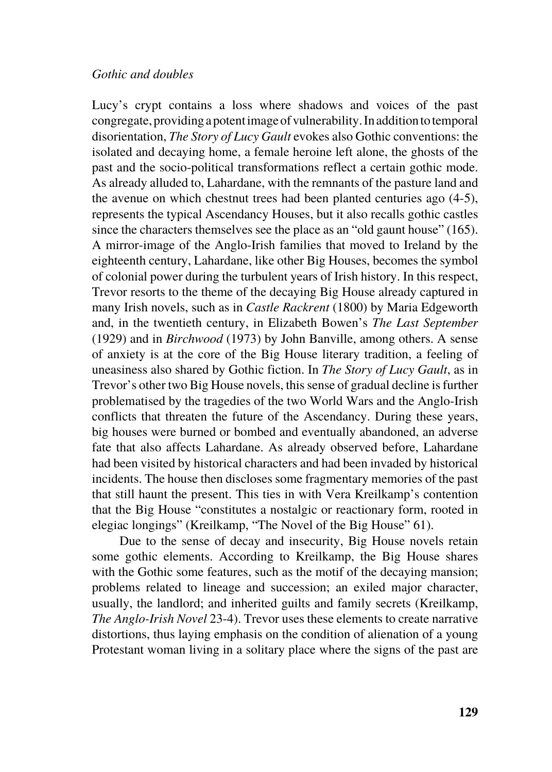#### *Gothic and doubles*

Lucy's crypt contains a loss where shadows and voices of the past congregate, providing a potent image of vulnerability. In addition to temporal disorientation, *The Story of Lucy Gault* evokes also Gothic conventions: the isolated and decaying home, a female heroine left alone, the ghosts of the past and the socio-political transformations reflect a certain gothic mode. As already alluded to, Lahardane, with the remnants of the pasture land and the avenue on which chestnut trees had been planted centuries ago (4-5), represents the typical Ascendancy Houses, but it also recalls gothic castles since the characters themselves see the place as an "old gaunt house" (165). A mirror-image of the Anglo-Irish families that moved to Ireland by the eighteenth century, Lahardane, like other Big Houses, becomes the symbol of colonial power during the turbulent years of Irish history. In this respect, Trevor resorts to the theme of the decaying Big House already captured in many Irish novels, such as in *Castle Rackrent* (1800) by Maria Edgeworth and, in the twentieth century, in Elizabeth Bowen's *The Last September* (1929) and in *Birchwood* (1973) by John Banville, among others. A sense of anxiety is at the core of the Big House literary tradition, a feeling of uneasiness also shared by Gothic fiction. In *The Story of Lucy Gault*, as in Trevor's other two Big House novels, this sense of gradual decline is further problematised by the tragedies of the two World Wars and the Anglo-Irish conflicts that threaten the future of the Ascendancy. During these years, big houses were burned or bombed and eventually abandoned, an adverse fate that also affects Lahardane. As already observed before, Lahardane had been visited by historical characters and had been invaded by historical incidents. The house then discloses some fragmentary memories of the past that still haunt the present. This ties in with Vera Kreilkamp's contention that the Big House "constitutes a nostalgic or reactionary form, rooted in elegiac longings" (Kreilkamp, "The Novel of the Big House" 61).

Due to the sense of decay and insecurity, Big House novels retain some gothic elements. According to Kreilkamp, the Big House shares with the Gothic some features, such as the motif of the decaying mansion; problems related to lineage and succession; an exiled major character, usually, the landlord; and inherited guilts and family secrets (Kreilkamp, *The Anglo-Irish Novel* 23-4). Trevor uses these elements to create narrative distortions, thus laying emphasis on the condition of alienation of a young Protestant woman living in a solitary place where the signs of the past are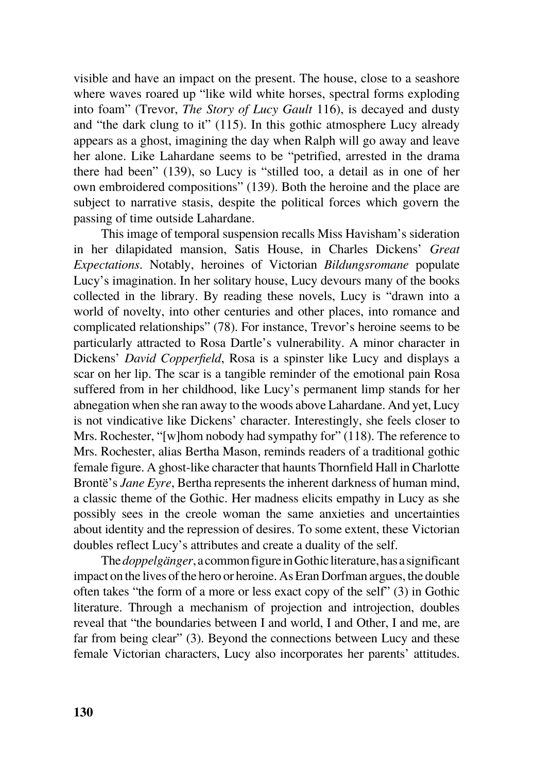visible and have an impact on the present. The house, close to a seashore where waves roared up "like wild white horses, spectral forms exploding into foam" (Trevor, *The Story of Lucy Gault* 116), is decayed and dusty and "the dark clung to it" (115). In this gothic atmosphere Lucy already appears as a ghost, imagining the day when Ralph will go away and leave her alone. Like Lahardane seems to be "petrified, arrested in the drama there had been" (139), so Lucy is "stilled too, a detail as in one of her own embroidered compositions" (139). Both the heroine and the place are subject to narrative stasis, despite the political forces which govern the passing of time outside Lahardane.

This image of temporal suspension recalls Miss Havisham's sideration in her dilapidated mansion, Satis House, in Charles Dickens' *Great Expectations*. Notably, heroines of Victorian *Bildungsromane* populate Lucy's imagination. In her solitary house, Lucy devours many of the books collected in the library. By reading these novels, Lucy is "drawn into a world of novelty, into other centuries and other places, into romance and complicated relationships" (78). For instance, Trevor's heroine seems to be particularly attracted to Rosa Dartle's vulnerability. A minor character in Dickens' *David Copperfield*, Rosa is a spinster like Lucy and displays a scar on her lip. The scar is a tangible reminder of the emotional pain Rosa suffered from in her childhood, like Lucy's permanent limp stands for her abnegation when she ran away to the woods above Lahardane. And yet, Lucy is not vindicative like Dickens' character. Interestingly, she feels closer to Mrs. Rochester, "[w]hom nobody had sympathy for" (118). The reference to Mrs. Rochester, alias Bertha Mason, reminds readers of a traditional gothic female figure. A ghost-like character that haunts Thornfield Hall in Charlotte Brontë's *Jane Eyre*, Bertha represents the inherent darkness of human mind, a classic theme of the Gothic. Her madness elicits empathy in Lucy as she possibly sees in the creole woman the same anxieties and uncertainties about identity and the repression of desires. To some extent, these Victorian doubles reflect Lucy's attributes and create a duality of the self.

The *doppelgänger*, a common figure in Gothic literature, has a significant impact on the lives of the hero or heroine. As Eran Dorfman argues, the double often takes "the form of a more or less exact copy of the self" (3) in Gothic literature. Through a mechanism of projection and introjection, doubles reveal that "the boundaries between I and world, I and Other, I and me, are far from being clear" (3). Beyond the connections between Lucy and these female Victorian characters, Lucy also incorporates her parents' attitudes.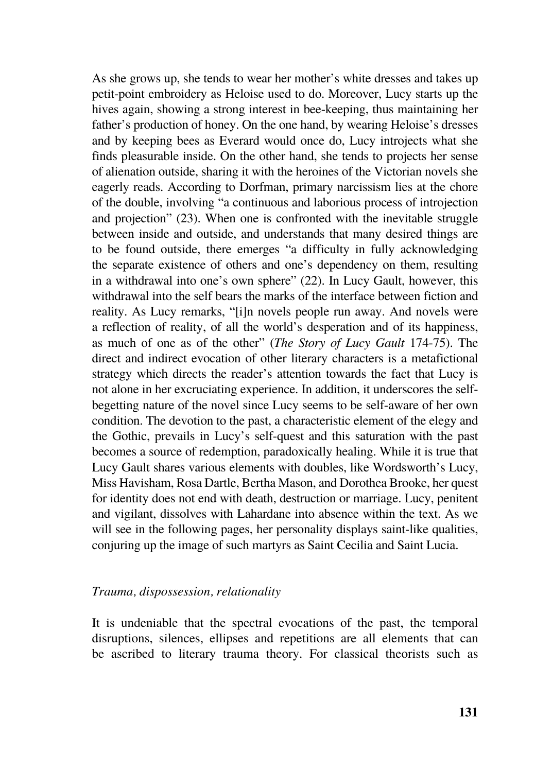As she grows up, she tends to wear her mother's white dresses and takes up petit-point embroidery as Heloise used to do. Moreover, Lucy starts up the hives again, showing a strong interest in bee-keeping, thus maintaining her father's production of honey. On the one hand, by wearing Heloise's dresses and by keeping bees as Everard would once do, Lucy introjects what she finds pleasurable inside. On the other hand, she tends to projects her sense of alienation outside, sharing it with the heroines of the Victorian novels she eagerly reads. According to Dorfman, primary narcissism lies at the chore of the double, involving "a continuous and laborious process of introjection and projection" (23). When one is confronted with the inevitable struggle between inside and outside, and understands that many desired things are to be found outside, there emerges "a difficulty in fully acknowledging the separate existence of others and one's dependency on them, resulting in a withdrawal into one's own sphere" (22). In Lucy Gault, however, this withdrawal into the self bears the marks of the interface between fiction and reality. As Lucy remarks, "[i]n novels people run away. And novels were a reflection of reality, of all the world's desperation and of its happiness, as much of one as of the other" (*The Story of Lucy Gault* 174-75). The direct and indirect evocation of other literary characters is a metafictional strategy which directs the reader's attention towards the fact that Lucy is not alone in her excruciating experience. In addition, it underscores the selfbegetting nature of the novel since Lucy seems to be self-aware of her own condition. The devotion to the past, a characteristic element of the elegy and the Gothic, prevails in Lucy's self-quest and this saturation with the past becomes a source of redemption, paradoxically healing. While it is true that Lucy Gault shares various elements with doubles, like Wordsworth's Lucy, Miss Havisham, Rosa Dartle, Bertha Mason, and Dorothea Brooke, her quest for identity does not end with death, destruction or marriage. Lucy, penitent and vigilant, dissolves with Lahardane into absence within the text. As we will see in the following pages, her personality displays saint-like qualities, conjuring up the image of such martyrs as Saint Cecilia and Saint Lucia.

# *Trauma, dispossession, relationality*

It is undeniable that the spectral evocations of the past, the temporal disruptions, silences, ellipses and repetitions are all elements that can be ascribed to literary trauma theory. For classical theorists such as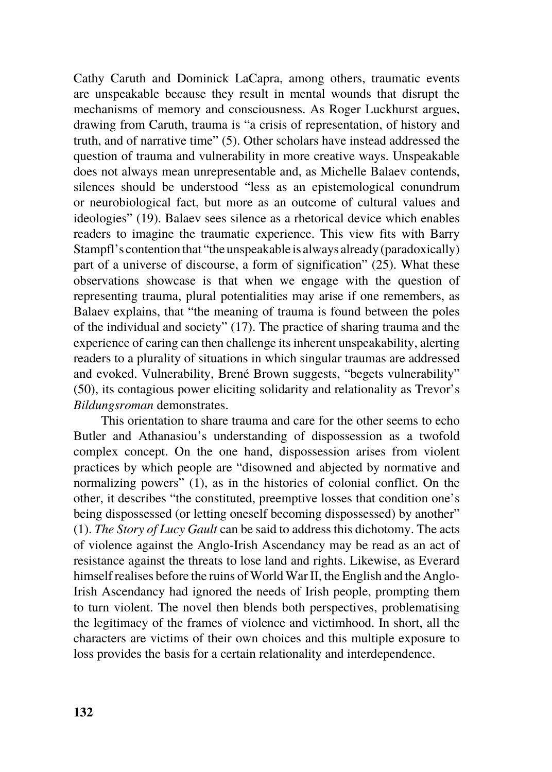Cathy Caruth and Dominick LaCapra, among others, traumatic events are unspeakable because they result in mental wounds that disrupt the mechanisms of memory and consciousness. As Roger Luckhurst argues, drawing from Caruth, trauma is "a crisis of representation, of history and truth, and of narrative time" (5). Other scholars have instead addressed the question of trauma and vulnerability in more creative ways. Unspeakable does not always mean unrepresentable and, as Michelle Balaev contends, silences should be understood "less as an epistemological conundrum or neurobiological fact, but more as an outcome of cultural values and ideologies" (19). Balaev sees silence as a rhetorical device which enables readers to imagine the traumatic experience. This view fits with Barry Stampfl's contention that "the unspeakable is always already (paradoxically) part of a universe of discourse, a form of signification" (25). What these observations showcase is that when we engage with the question of representing trauma, plural potentialities may arise if one remembers, as Balaev explains, that "the meaning of trauma is found between the poles of the individual and society" (17). The practice of sharing trauma and the experience of caring can then challenge its inherent unspeakability, alerting readers to a plurality of situations in which singular traumas are addressed and evoked. Vulnerability, Brené Brown suggests, "begets vulnerability" (50), its contagious power eliciting solidarity and relationality as Trevor's *Bildungsroman* demonstrates.

This orientation to share trauma and care for the other seems to echo Butler and Athanasiou's understanding of dispossession as a twofold complex concept. On the one hand, dispossession arises from violent practices by which people are "disowned and abjected by normative and normalizing powers" (1), as in the histories of colonial conflict. On the other, it describes "the constituted, preemptive losses that condition one's being dispossessed (or letting oneself becoming dispossessed) by another" (1). *The Story of Lucy Gault* can be said to address this dichotomy. The acts of violence against the Anglo-Irish Ascendancy may be read as an act of resistance against the threats to lose land and rights. Likewise, as Everard himself realises before the ruins of World War II, the English and the Anglo-Irish Ascendancy had ignored the needs of Irish people, prompting them to turn violent. The novel then blends both perspectives, problematising the legitimacy of the frames of violence and victimhood. In short, all the characters are victims of their own choices and this multiple exposure to loss provides the basis for a certain relationality and interdependence.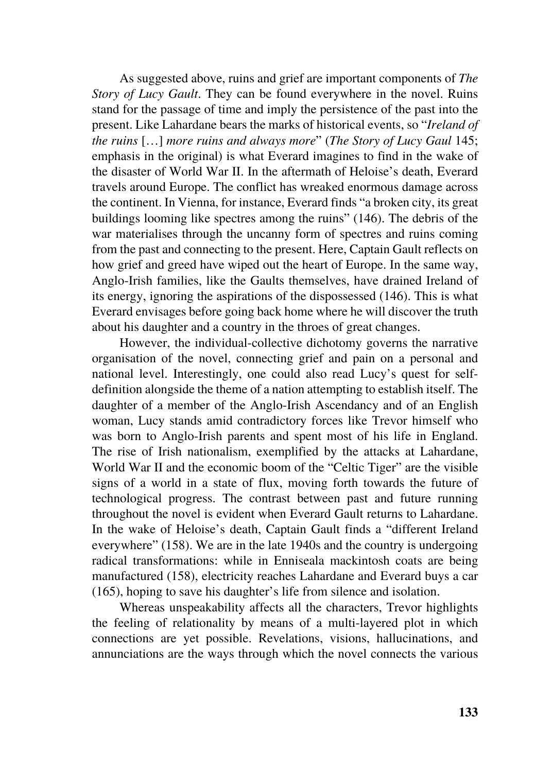As suggested above, ruins and grief are important components of *The Story of Lucy Gault*. They can be found everywhere in the novel. Ruins stand for the passage of time and imply the persistence of the past into the present. Like Lahardane bears the marks of historical events, so "*Ireland of the ruins* […] *more ruins and always more*" (*The Story of Lucy Gaul* 145; emphasis in the original) is what Everard imagines to find in the wake of the disaster of World War II. In the aftermath of Heloise's death, Everard travels around Europe. The conflict has wreaked enormous damage across the continent. In Vienna, for instance, Everard finds "a broken city, its great buildings looming like spectres among the ruins" (146). The debris of the war materialises through the uncanny form of spectres and ruins coming from the past and connecting to the present. Here, Captain Gault reflects on how grief and greed have wiped out the heart of Europe. In the same way, Anglo-Irish families, like the Gaults themselves, have drained Ireland of its energy, ignoring the aspirations of the dispossessed (146). This is what Everard envisages before going back home where he will discover the truth about his daughter and a country in the throes of great changes.

However, the individual-collective dichotomy governs the narrative organisation of the novel, connecting grief and pain on a personal and national level. Interestingly, one could also read Lucy's quest for selfdefinition alongside the theme of a nation attempting to establish itself. The daughter of a member of the Anglo-Irish Ascendancy and of an English woman, Lucy stands amid contradictory forces like Trevor himself who was born to Anglo-Irish parents and spent most of his life in England. The rise of Irish nationalism, exemplified by the attacks at Lahardane, World War II and the economic boom of the "Celtic Tiger" are the visible signs of a world in a state of flux, moving forth towards the future of technological progress. The contrast between past and future running throughout the novel is evident when Everard Gault returns to Lahardane. In the wake of Heloise's death, Captain Gault finds a "different Ireland everywhere" (158). We are in the late 1940s and the country is undergoing radical transformations: while in Enniseala mackintosh coats are being manufactured (158), electricity reaches Lahardane and Everard buys a car (165), hoping to save his daughter's life from silence and isolation.

Whereas unspeakability affects all the characters, Trevor highlights the feeling of relationality by means of a multi-layered plot in which connections are yet possible. Revelations, visions, hallucinations, and annunciations are the ways through which the novel connects the various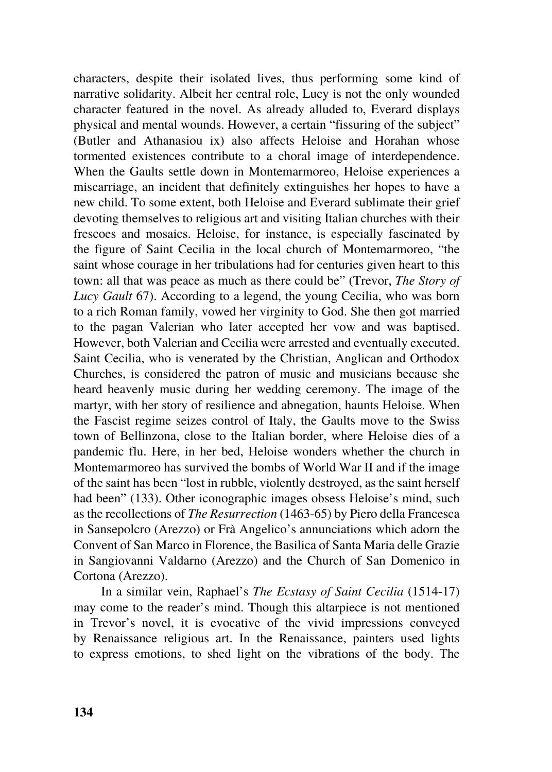characters, despite their isolated lives, thus performing some kind of narrative solidarity. Albeit her central role, Lucy is not the only wounded character featured in the novel. As already alluded to, Everard displays physical and mental wounds. However, a certain "fissuring of the subject" (Butler and Athanasiou ix) also affects Heloise and Horahan whose tormented existences contribute to a choral image of interdependence. When the Gaults settle down in Montemarmoreo, Heloise experiences a miscarriage, an incident that definitely extinguishes her hopes to have a new child. To some extent, both Heloise and Everard sublimate their grief devoting themselves to religious art and visiting Italian churches with their frescoes and mosaics. Heloise, for instance, is especially fascinated by the figure of Saint Cecilia in the local church of Montemarmoreo, "the saint whose courage in her tribulations had for centuries given heart to this town: all that was peace as much as there could be" (Trevor, *The Story of Lucy Gault* 67). According to a legend, the young Cecilia, who was born to a rich Roman family, vowed her virginity to God. She then got married to the pagan Valerian who later accepted her vow and was baptised. However, both Valerian and Cecilia were arrested and eventually executed. Saint Cecilia, who is venerated by the Christian, Anglican and Orthodox Churches, is considered the patron of music and musicians because she heard heavenly music during her wedding ceremony. The image of the martyr, with her story of resilience and abnegation, haunts Heloise. When the Fascist regime seizes control of Italy, the Gaults move to the Swiss town of Bellinzona, close to the Italian border, where Heloise dies of a pandemic flu. Here, in her bed, Heloise wonders whether the church in Montemarmoreo has survived the bombs of World War II and if the image of the saint has been "lost in rubble, violently destroyed, as the saint herself had been" (133). Other iconographic images obsess Heloise's mind, such as the recollections of *The Resurrection* (1463-65) by Piero della Francesca in Sansepolcro (Arezzo) or Frà Angelico's annunciations which adorn the Convent of San Marco in Florence, the Basilica of Santa Maria delle Grazie in Sangiovanni Valdarno (Arezzo) and the Church of San Domenico in Cortona (Arezzo).

In a similar vein, Raphael's *The Ecstasy of Saint Cecilia* (1514-17) may come to the reader's mind. Though this altarpiece is not mentioned in Trevor's novel, it is evocative of the vivid impressions conveyed by Renaissance religious art. In the Renaissance, painters used lights to express emotions, to shed light on the vibrations of the body. The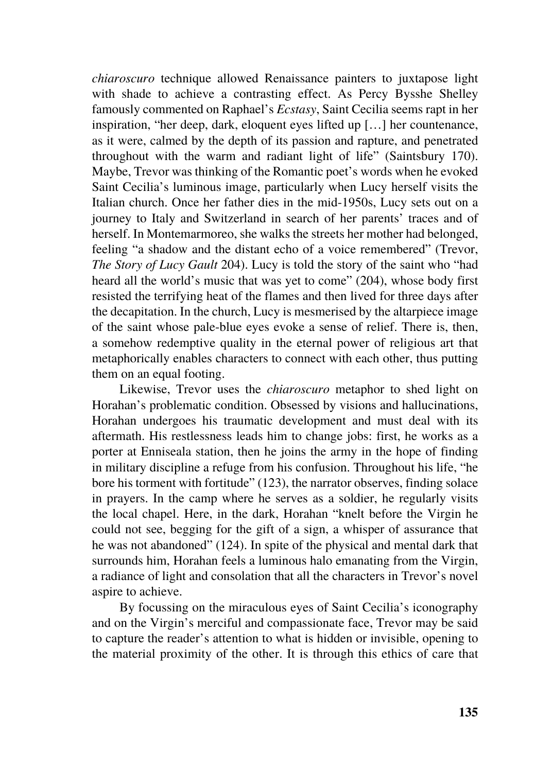*chiaroscuro* technique allowed Renaissance painters to juxtapose light with shade to achieve a contrasting effect. As Percy Bysshe Shelley famously commented on Raphael's *Ecstasy*, Saint Cecilia seems rapt in her inspiration, "her deep, dark, eloquent eyes lifted up […] her countenance, as it were, calmed by the depth of its passion and rapture, and penetrated throughout with the warm and radiant light of life" (Saintsbury 170). Maybe, Trevor was thinking of the Romantic poet's words when he evoked Saint Cecilia's luminous image, particularly when Lucy herself visits the Italian church. Once her father dies in the mid-1950s, Lucy sets out on a journey to Italy and Switzerland in search of her parents' traces and of herself. In Montemarmoreo, she walks the streets her mother had belonged, feeling "a shadow and the distant echo of a voice remembered" (Trevor, *The Story of Lucy Gault* 204). Lucy is told the story of the saint who "had heard all the world's music that was yet to come" (204), whose body first resisted the terrifying heat of the flames and then lived for three days after the decapitation. In the church, Lucy is mesmerised by the altarpiece image of the saint whose pale-blue eyes evoke a sense of relief. There is, then, a somehow redemptive quality in the eternal power of religious art that metaphorically enables characters to connect with each other, thus putting them on an equal footing.

Likewise, Trevor uses the *chiaroscuro* metaphor to shed light on Horahan's problematic condition. Obsessed by visions and hallucinations, Horahan undergoes his traumatic development and must deal with its aftermath. His restlessness leads him to change jobs: first, he works as a porter at Enniseala station, then he joins the army in the hope of finding in military discipline a refuge from his confusion. Throughout his life, "he bore his torment with fortitude" (123), the narrator observes, finding solace in prayers. In the camp where he serves as a soldier, he regularly visits the local chapel. Here, in the dark, Horahan "knelt before the Virgin he could not see, begging for the gift of a sign, a whisper of assurance that he was not abandoned" (124). In spite of the physical and mental dark that surrounds him, Horahan feels a luminous halo emanating from the Virgin, a radiance of light and consolation that all the characters in Trevor's novel aspire to achieve.

By focussing on the miraculous eyes of Saint Cecilia's iconography and on the Virgin's merciful and compassionate face, Trevor may be said to capture the reader's attention to what is hidden or invisible, opening to the material proximity of the other. It is through this ethics of care that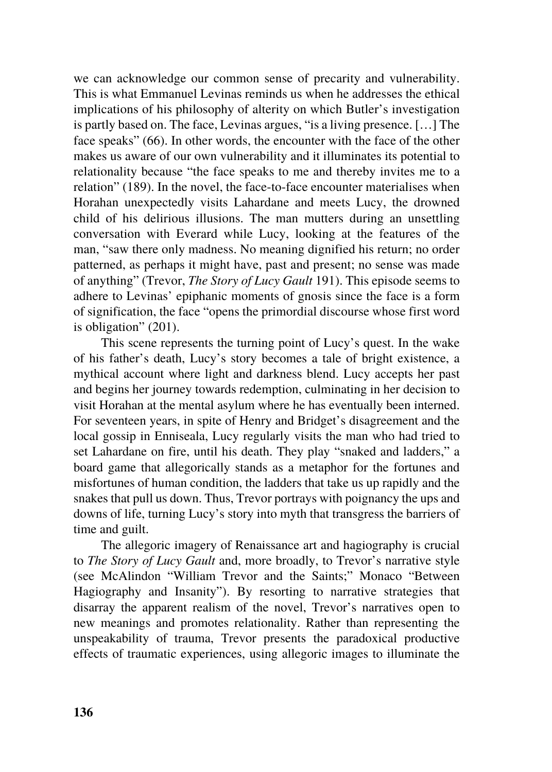we can acknowledge our common sense of precarity and vulnerability. This is what Emmanuel Levinas reminds us when he addresses the ethical implications of his philosophy of alterity on which Butler's investigation is partly based on. The face, Levinas argues, "is a living presence. […] The face speaks" (66). In other words, the encounter with the face of the other makes us aware of our own vulnerability and it illuminates its potential to relationality because "the face speaks to me and thereby invites me to a relation" (189). In the novel, the face-to-face encounter materialises when Horahan unexpectedly visits Lahardane and meets Lucy, the drowned child of his delirious illusions. The man mutters during an unsettling conversation with Everard while Lucy, looking at the features of the man, "saw there only madness. No meaning dignified his return; no order patterned, as perhaps it might have, past and present; no sense was made of anything" (Trevor, *The Story of Lucy Gault* 191). This episode seems to adhere to Levinas' epiphanic moments of gnosis since the face is a form of signification, the face "opens the primordial discourse whose first word is obligation" (201).

This scene represents the turning point of Lucy's quest. In the wake of his father's death, Lucy's story becomes a tale of bright existence, a mythical account where light and darkness blend. Lucy accepts her past and begins her journey towards redemption, culminating in her decision to visit Horahan at the mental asylum where he has eventually been interned. For seventeen years, in spite of Henry and Bridget's disagreement and the local gossip in Enniseala, Lucy regularly visits the man who had tried to set Lahardane on fire, until his death. They play "snaked and ladders," a board game that allegorically stands as a metaphor for the fortunes and misfortunes of human condition, the ladders that take us up rapidly and the snakes that pull us down. Thus, Trevor portrays with poignancy the ups and downs of life, turning Lucy's story into myth that transgress the barriers of time and guilt.

The allegoric imagery of Renaissance art and hagiography is crucial to *The Story of Lucy Gault* and, more broadly, to Trevor's narrative style (see McAlindon "William Trevor and the Saints;" Monaco "Between Hagiography and Insanity"). By resorting to narrative strategies that disarray the apparent realism of the novel, Trevor's narratives open to new meanings and promotes relationality. Rather than representing the unspeakability of trauma, Trevor presents the paradoxical productive effects of traumatic experiences, using allegoric images to illuminate the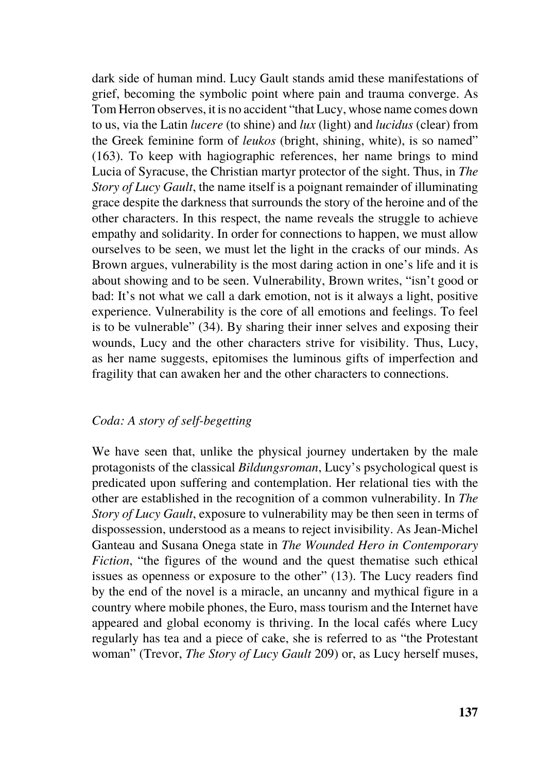dark side of human mind. Lucy Gault stands amid these manifestations of grief, becoming the symbolic point where pain and trauma converge. As Tom Herron observes, it is no accident "that Lucy, whose name comes down to us, via the Latin *lucere* (to shine) and *lux* (light) and *lucidus* (clear) from the Greek feminine form of *leukos* (bright, shining, white), is so named" (163). To keep with hagiographic references, her name brings to mind Lucia of Syracuse, the Christian martyr protector of the sight. Thus, in *The Story of Lucy Gault*, the name itself is a poignant remainder of illuminating grace despite the darkness that surrounds the story of the heroine and of the other characters. In this respect, the name reveals the struggle to achieve empathy and solidarity. In order for connections to happen, we must allow ourselves to be seen, we must let the light in the cracks of our minds. As Brown argues, vulnerability is the most daring action in one's life and it is about showing and to be seen. Vulnerability, Brown writes, "isn't good or bad: It's not what we call a dark emotion, not is it always a light, positive experience. Vulnerability is the core of all emotions and feelings. To feel is to be vulnerable" (34). By sharing their inner selves and exposing their wounds, Lucy and the other characters strive for visibility. Thus, Lucy, as her name suggests, epitomises the luminous gifts of imperfection and fragility that can awaken her and the other characters to connections.

# *Coda: A story of self-begetting*

We have seen that, unlike the physical journey undertaken by the male protagonists of the classical *Bildungsroman*, Lucy's psychological quest is predicated upon suffering and contemplation. Her relational ties with the other are established in the recognition of a common vulnerability. In *The Story of Lucy Gault*, exposure to vulnerability may be then seen in terms of dispossession, understood as a means to reject invisibility. As Jean-Michel Ganteau and Susana Onega state in *The Wounded Hero in Contemporary Fiction*, "the figures of the wound and the quest thematise such ethical issues as openness or exposure to the other" (13). The Lucy readers find by the end of the novel is a miracle, an uncanny and mythical figure in a country where mobile phones, the Euro, mass tourism and the Internet have appeared and global economy is thriving. In the local cafés where Lucy regularly has tea and a piece of cake, she is referred to as "the Protestant woman" (Trevor, *The Story of Lucy Gault* 209) or, as Lucy herself muses,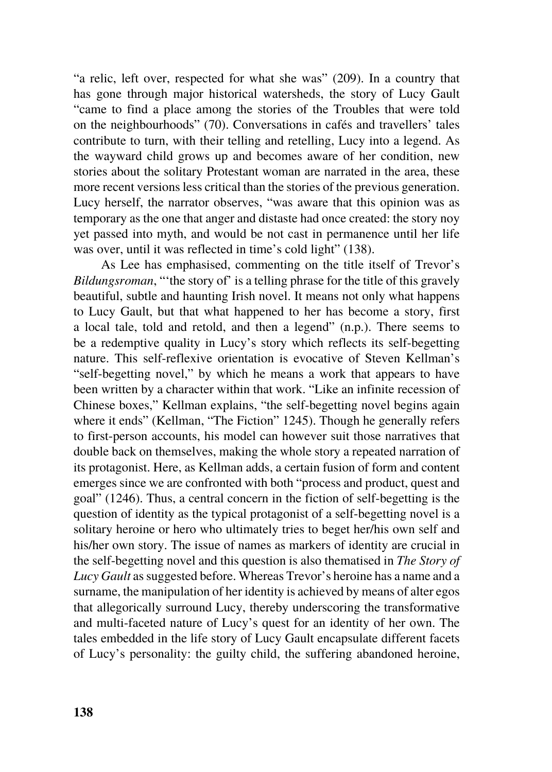"a relic, left over, respected for what she was" (209). In a country that has gone through major historical watersheds, the story of Lucy Gault "came to find a place among the stories of the Troubles that were told on the neighbourhoods" (70). Conversations in cafés and travellers' tales contribute to turn, with their telling and retelling, Lucy into a legend. As the wayward child grows up and becomes aware of her condition, new stories about the solitary Protestant woman are narrated in the area, these more recent versions less critical than the stories of the previous generation. Lucy herself, the narrator observes, "was aware that this opinion was as temporary as the one that anger and distaste had once created: the story noy yet passed into myth, and would be not cast in permanence until her life was over, until it was reflected in time's cold light" (138).

As Lee has emphasised, commenting on the title itself of Trevor's *Bildungsroman*, "'the story of' is a telling phrase for the title of this gravely beautiful, subtle and haunting Irish novel. It means not only what happens to Lucy Gault, but that what happened to her has become a story, first a local tale, told and retold, and then a legend" (n.p.). There seems to be a redemptive quality in Lucy's story which reflects its self-begetting nature. This self-reflexive orientation is evocative of Steven Kellman's "self-begetting novel," by which he means a work that appears to have been written by a character within that work. "Like an infinite recession of Chinese boxes," Kellman explains, "the self-begetting novel begins again where it ends" (Kellman, "The Fiction" 1245). Though he generally refers to first-person accounts, his model can however suit those narratives that double back on themselves, making the whole story a repeated narration of its protagonist. Here, as Kellman adds, a certain fusion of form and content emerges since we are confronted with both "process and product, quest and goal" (1246). Thus, a central concern in the fiction of self-begetting is the question of identity as the typical protagonist of a self-begetting novel is a solitary heroine or hero who ultimately tries to beget her/his own self and his/her own story. The issue of names as markers of identity are crucial in the self-begetting novel and this question is also thematised in *The Story of Lucy Gault* as suggested before. Whereas Trevor's heroine has a name and a surname, the manipulation of her identity is achieved by means of alter egos that allegorically surround Lucy, thereby underscoring the transformative and multi-faceted nature of Lucy's quest for an identity of her own. The tales embedded in the life story of Lucy Gault encapsulate different facets of Lucy's personality: the guilty child, the suffering abandoned heroine,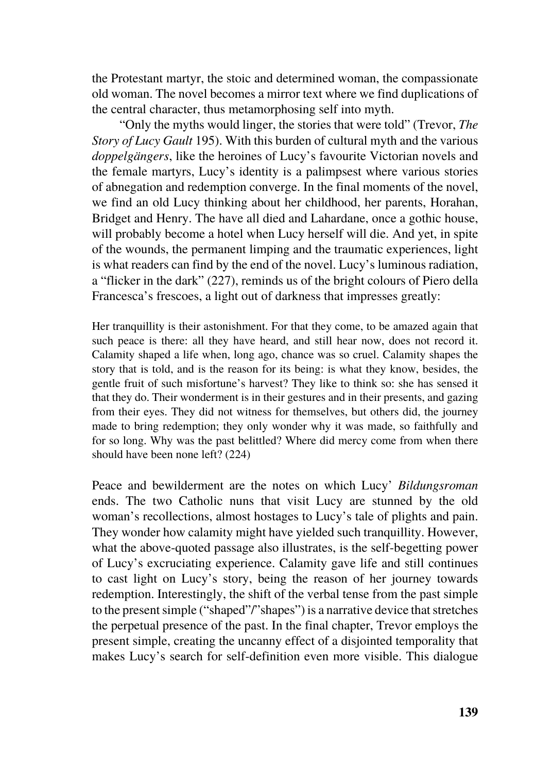the Protestant martyr, the stoic and determined woman, the compassionate old woman. The novel becomes a mirror text where we find duplications of the central character, thus metamorphosing self into myth.

"Only the myths would linger, the stories that were told" (Trevor, *The Story of Lucy Gault* 195). With this burden of cultural myth and the various *doppelgängers*, like the heroines of Lucy's favourite Victorian novels and the female martyrs, Lucy's identity is a palimpsest where various stories of abnegation and redemption converge. In the final moments of the novel, we find an old Lucy thinking about her childhood, her parents, Horahan, Bridget and Henry. The have all died and Lahardane, once a gothic house, will probably become a hotel when Lucy herself will die. And yet, in spite of the wounds, the permanent limping and the traumatic experiences, light is what readers can find by the end of the novel. Lucy's luminous radiation, a "flicker in the dark" (227), reminds us of the bright colours of Piero della Francesca's frescoes, a light out of darkness that impresses greatly:

Her tranquillity is their astonishment. For that they come, to be amazed again that such peace is there: all they have heard, and still hear now, does not record it. Calamity shaped a life when, long ago, chance was so cruel. Calamity shapes the story that is told, and is the reason for its being: is what they know, besides, the gentle fruit of such misfortune's harvest? They like to think so: she has sensed it that they do. Their wonderment is in their gestures and in their presents, and gazing from their eyes. They did not witness for themselves, but others did, the journey made to bring redemption; they only wonder why it was made, so faithfully and for so long. Why was the past belittled? Where did mercy come from when there should have been none left? (224)

Peace and bewilderment are the notes on which Lucy' *Bildungsroman* ends. The two Catholic nuns that visit Lucy are stunned by the old woman's recollections, almost hostages to Lucy's tale of plights and pain. They wonder how calamity might have yielded such tranquillity. However, what the above-quoted passage also illustrates, is the self-begetting power of Lucy's excruciating experience. Calamity gave life and still continues to cast light on Lucy's story, being the reason of her journey towards redemption. Interestingly, the shift of the verbal tense from the past simple to the present simple ("shaped"/"shapes") is a narrative device that stretches the perpetual presence of the past. In the final chapter, Trevor employs the present simple, creating the uncanny effect of a disjointed temporality that makes Lucy's search for self-definition even more visible. This dialogue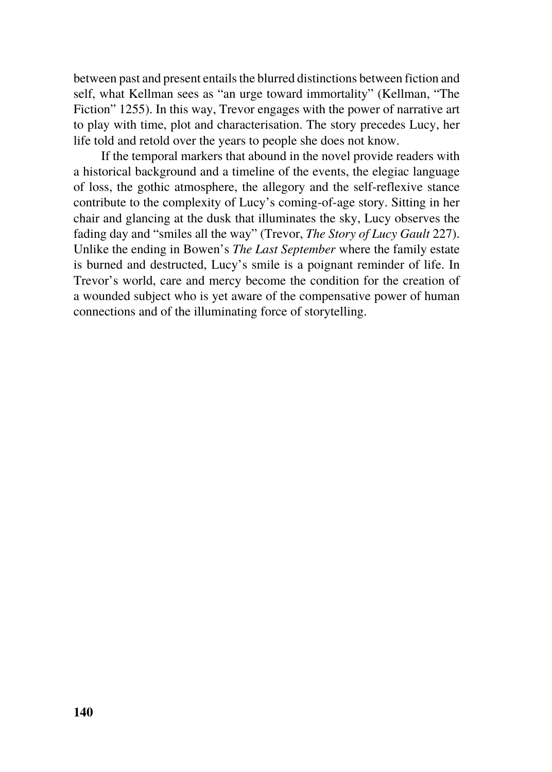between past and present entails the blurred distinctions between fiction and self, what Kellman sees as "an urge toward immortality" (Kellman, "The Fiction" 1255). In this way, Trevor engages with the power of narrative art to play with time, plot and characterisation. The story precedes Lucy, her life told and retold over the years to people she does not know.

If the temporal markers that abound in the novel provide readers with a historical background and a timeline of the events, the elegiac language of loss, the gothic atmosphere, the allegory and the self-reflexive stance contribute to the complexity of Lucy's coming-of-age story. Sitting in her chair and glancing at the dusk that illuminates the sky, Lucy observes the fading day and "smiles all the way" (Trevor, *The Story of Lucy Gault* 227). Unlike the ending in Bowen's *The Last September* where the family estate is burned and destructed, Lucy's smile is a poignant reminder of life. In Trevor's world, care and mercy become the condition for the creation of a wounded subject who is yet aware of the compensative power of human connections and of the illuminating force of storytelling.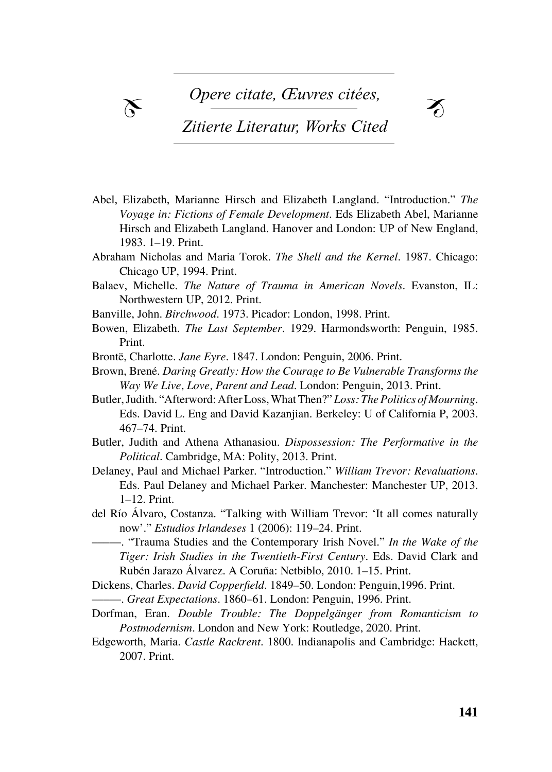$\chi$  Opere citate, *Œuvres* citées,



# *Zitierte Literatur, Works Cited*

- Barash, david p. Barash, nanelle. *Madame Bovary's Ovaries. A Darwinian Look Voyage in: Fictions of Female Development*. Eds Elizabeth Abel, Marianne Hirsch and Elizabeth Langland. Hanover and London: UP of New England, Bartalesi, lorenzo. *Estetica evoluzionistica. Darwin e l'origine del senso estetico*. 1983. 1–19. Print. Abel, Elizabeth, Marianne Hirsch and Elizabeth Langland. "Introduction." *The*
- Abraham Nicholas and Maria Torok. The Shell and the Kernel. 1987. Chicago: Chicago UP, 1994. Print.
- Balaev, Michelle. *The Nature of Trauma in American Novels*. Evanston, IL: Northwestern UP, 2012. Print.
- Bölsche, wilhelm. *Die naturwissenschaftlichen Grundlagen der Poesie. Prole-*Banville, John. *Birchwood*. 1973. Picador: London, 1998. Print.
- Bowen, Elizabeth. *The Last September*. 1929. Harmondsworth: Penguin, 1985. Borsh, vittoria. "Bio-poetik». Das «wissen für das leben» in der literatur und das eine der literatur und der<br>Eine Schweize der literatur und der literatur und der literatur und der literatur und der literatur und der li Print.
- Brontë, Charlotte. *Jane Eyre*. 1847. London: Penguin, 2006. Print.
- Brown, Brené. *Daring Greatly: How the Courage to Be Vulnerable Transforms the* Way We Live, Love, Parent and Lead. London: Penguin, 2013. Print.
- calabrese, stefano. "introduzione". in *Neuronarratologia. Il futuro dell'analisi* Butler, Judith. "Afterword: After Loss, What Then?" *Loss: The Politics of Mourning*. *del racconto*. a cura di stefano calabrese. Bologna: archetipolibri, 2012: Eds. David L. Eng and David Kazanjian. Berkeley: U of California P, 2003. 1-27. 467–74. Print.
- Butler, Judith and Athena Athanasiou. *Dispossession: The Performative in the* zione". *Between* 1 (2011): 1-28. *Political*. Cambridge, MA: Polity, 2013. Print.
- dissanayake, ellen. *Homo Aestheticus. Where Art Comes From and Why*. Delaney, Paul and Michael Parker. "Introduction." *William Trevor: Revaluations*. ey, I am and Michael I anter. Introduction: Washington<br>Eds. Doul Delenou and Michael Doulton Manabastam M eibl, karl. *Animal poeta. Bausteine der biologischen Kultur- und Literaturtheorie*. Eds. Paul Delaney and Michael Parker. Manchester: Manchester UP, 2013. 1–12. Print.
- paderborn: mentis, 2004. del Río Álvaro, Costanza. "Talking with William Trevor: 'It all comes naturally now'." *Estudios Irlandeses* 1 (2006): 119–24. Print.
- mellmann, katja. *Emotionalisierung – Von der Nebenstundenpoesie zum Buch als* –––––. "Trauma Studies and the Contemporary Irish Novel." *In the Wake of the Freund. Eine emotionspsychologische Analyse der Literatur der Tiger: Irish Studies in the Twentieth-First Century*. Eds. David Clark and *Auger*. *IIIsh Suddes in the Twendeln-Pirst* C mennighaus, winfried. *Kunst als "Beförderung des Lebens". Perspektiven tran-*Rubén Jarazo Álvarez. A Coruña: Netbiblo, 2010. 1–15. Print.
- Dickens, Charles. *David Copperfield*. 1849–50. London: Penguin,1996. Print. –––––. *Great Expectations*. 1860–61. London: Penguin, 1996. Print.
- siemens stiftung, <sup>2008</sup> \_\_\_\_\_. *Wozu Kunst? Ästhetik nach Darwin*. frankfurt am main: suhrkamp, 2011. Dorfman, Eran. *Double Trouble: The Doppelgänger from Romanticism to*  montani, pietro. *Bioestetica. Senso comune, tecnica e arte nell'età della globaliz-Postmodernism*. London and New York: Routledge, 2020. Print.
- Edgeworth, Maria. *Castle Rackrent*. 1800. Indianapolis and Cambridge: Hackett, 2007. Print.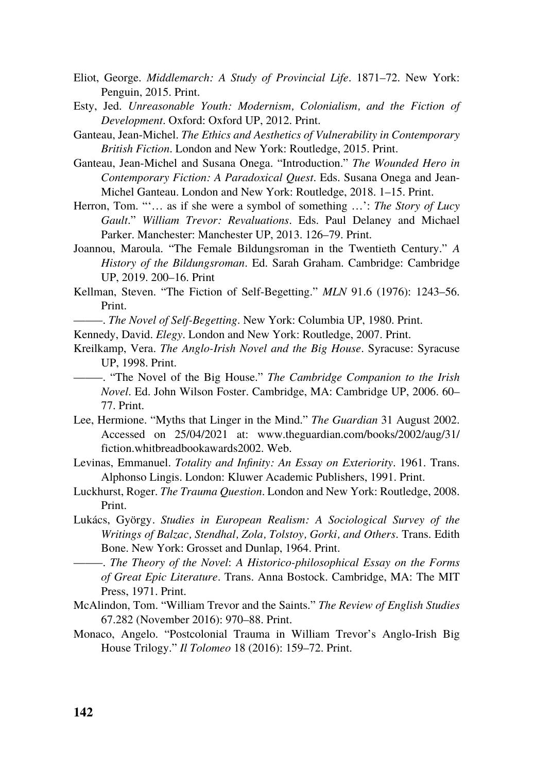- Eliot, George. *Middlemarch: A Study of Provincial Life*. 1871–72. New York: Penguin, 2015. Print.
- Esty, Jed. *Unreasonable Youth: Modernism, Colonialism, and the Fiction of Development*. Oxford: Oxford UP, 2012. Print.
- Ganteau, Jean-Michel. *The Ethics and Aesthetics of Vulnerability in Contemporary British Fiction*. London and New York: Routledge, 2015. Print.
- Ganteau, Jean-Michel and Susana Onega. "Introduction." *The Wounded Hero in Contemporary Fiction: A Paradoxical Quest*. Eds. Susana Onega and Jean-Michel Ganteau. London and New York: Routledge, 2018. 1–15. Print.
- Herron, Tom. "'… as if she were a symbol of something …': *The Story of Lucy Gault*." *William Trevor: Revaluations*. Eds. Paul Delaney and Michael Parker. Manchester: Manchester UP, 2013. 126–79. Print.
- Joannou, Maroula. "The Female Bildungsroman in the Twentieth Century." *A History of the Bildungsroman*. Ed. Sarah Graham. Cambridge: Cambridge UP, 2019. 200–16. Print
- Kellman, Steven. "The Fiction of Self-Begetting." *MLN* 91.6 (1976): 1243–56. Print.
- –––––. *The Novel of Self-Begetting*. New York: Columbia UP, 1980. Print.
- Kennedy, David. *Elegy*. London and New York: Routledge, 2007. Print.
- Kreilkamp, Vera. *The Anglo-Irish Novel and the Big House*. Syracuse: Syracuse UP, 1998. Print.
- –––––. "The Novel of the Big House." *The Cambridge Companion to the Irish Novel*. Ed. John Wilson Foster. Cambridge, MA: Cambridge UP, 2006. 60– 77. Print.
- Lee, Hermione. "Myths that Linger in the Mind." *The Guardian* 31 August 2002. Accessed on 25/04/2021 at: www.theguardian.com/books/2002/aug/31/ fiction.whitbreadbookawards2002. Web.
- Levinas, Emmanuel. *Totality and Infinity: An Essay on Exteriority*. 1961. Trans. Alphonso Lingis. London: Kluwer Academic Publishers, 1991. Print.
- Luckhurst, Roger. *The Trauma Question*. London and New York: Routledge, 2008. Print.
- Lukács, György*. Studies in European Realism: A Sociological Survey of the Writings of Balzac, Stendhal, Zola, Tolstoy, Gorki, and Others*. Trans. Edith Bone. New York: Grosset and Dunlap, 1964. Print.
- –––––. *The Theory of the Novel*: *A Historico-philosophical Essay on the Forms of Great Epic Literature*. Trans. Anna Bostock. Cambridge, MA: The MIT Press, 1971. Print.
- McAlindon, Tom. "William Trevor and the Saints." *The Review of English Studies* 67.282 (November 2016): 970–88. Print.
- Monaco, Angelo. "Postcolonial Trauma in William Trevor's Anglo-Irish Big House Trilogy." *Il Tolomeo* 18 (2016): 159–72. Print.